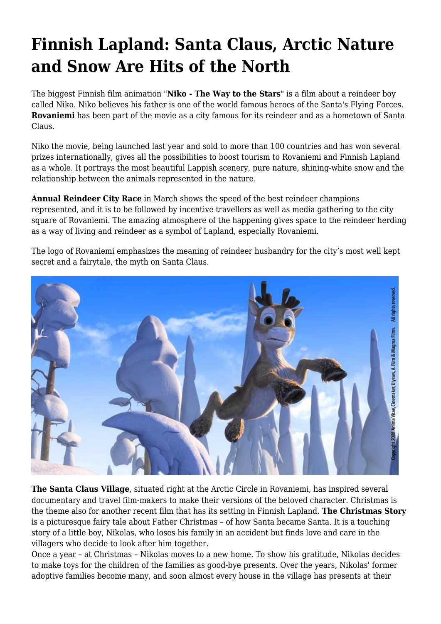## **Finnish Lapland: Santa Claus, Arctic Nature and Snow Are Hits of the North**

The biggest Finnish film animation "**Niko - The Way to the Stars**" is a film about a reindeer boy called Niko. Niko believes his father is one of the world famous heroes of the Santa's Flying Forces. **Rovaniemi** has been part of the movie as a city famous for its reindeer and as a hometown of Santa Claus.

Niko the movie, being launched last year and sold to more than 100 countries and has won several prizes internationally, gives all the possibilities to boost tourism to Rovaniemi and Finnish Lapland as a whole. It portrays the most beautiful Lappish scenery, pure nature, shining-white snow and the relationship between the animals represented in the nature.

**Annual Reindeer City Race** in March shows the speed of the best reindeer champions represented, and it is to be followed by incentive travellers as well as media gathering to the city square of Rovaniemi. The amazing atmosphere of the happening gives space to the reindeer herding as a way of living and reindeer as a symbol of Lapland, especially Rovaniemi.

The logo of Rovaniemi emphasizes the meaning of reindeer husbandry for the city's most well kept secret and a fairytale, the myth on Santa Claus.



**The Santa Claus Village**, situated right at the Arctic Circle in Rovaniemi, has inspired several documentary and travel film-makers to make their versions of the beloved character. Christmas is the theme also for another recent film that has its setting in Finnish Lapland. **The Christmas Story** is a picturesque fairy tale about Father Christmas – of how Santa became Santa. It is a touching story of a little boy, Nikolas, who loses his family in an accident but finds love and care in the villagers who decide to look after him together.

Once a year – at Christmas – Nikolas moves to a new home. To show his gratitude, Nikolas decides to make toys for the children of the families as good-bye presents. Over the years, Nikolas' former adoptive families become many, and soon almost every house in the village has presents at their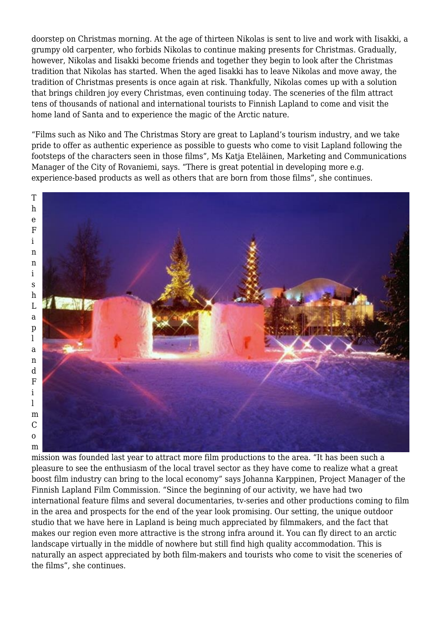doorstep on Christmas morning. At the age of thirteen Nikolas is sent to live and work with Iisakki, a grumpy old carpenter, who forbids Nikolas to continue making presents for Christmas. Gradually, however, Nikolas and Iisakki become friends and together they begin to look after the Christmas tradition that Nikolas has started. When the aged Iisakki has to leave Nikolas and move away, the tradition of Christmas presents is once again at risk. Thankfully, Nikolas comes up with a solution that brings children joy every Christmas, even continuing today. The sceneries of the film attract tens of thousands of national and international tourists to Finnish Lapland to come and visit the home land of Santa and to experience the magic of the Arctic nature.

"Films such as Niko and The Christmas Story are great to Lapland's tourism industry, and we take pride to offer as authentic experience as possible to guests who come to visit Lapland following the footsteps of the characters seen in those films", Ms Katja Eteläinen, Marketing and Communications Manager of the City of Rovaniemi, says. "There is great potential in developing more e.g. experience-based products as well as others that are born from those films", she continues.



mission was founded last year to attract more film productions to the area. "It has been such a pleasure to see the enthusiasm of the local travel sector as they have come to realize what a great boost film industry can bring to the local economy" says Johanna Karppinen, Project Manager of the Finnish Lapland Film Commission. "Since the beginning of our activity, we have had two international feature films and several documentaries, tv-series and other productions coming to film in the area and prospects for the end of the year look promising. Our setting, the unique outdoor studio that we have here in Lapland is being much appreciated by filmmakers, and the fact that makes our region even more attractive is the strong infra around it. You can fly direct to an arctic landscape virtually in the middle of nowhere but still find high quality accommodation. This is naturally an aspect appreciated by both film-makers and tourists who come to visit the sceneries of the films", she continues.